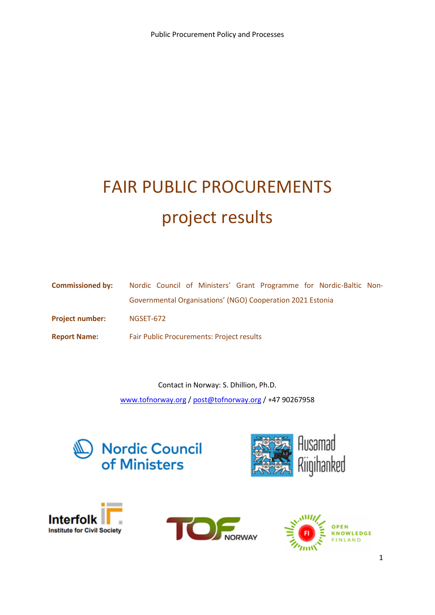# FAIR PUBLIC PROCUREMENTS project results

| <b>Commissioned by:</b> | Nordic Council of Ministers' Grant Programme for Nordic-Baltic Non- |
|-------------------------|---------------------------------------------------------------------|
|                         | Governmental Organisations' (NGO) Cooperation 2021 Estonia          |
| <b>Project number:</b>  | NGSET-672                                                           |
| <b>Report Name:</b>     | <b>Fair Public Procurements: Project results</b>                    |

Contact in Norway: S. Dhillion, Ph.D. [www.tofnorway.org](http://www.tofnorway.org/) / [post@tofnorway.org](mailto:post@tofnorway.org) / +47 90267958









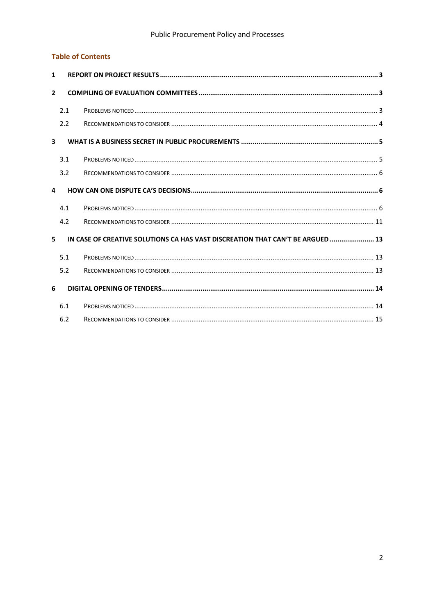#### **Table of Contents**

| $\mathbf{1}$            |     |                                                                                |  |
|-------------------------|-----|--------------------------------------------------------------------------------|--|
| $\overline{2}$          |     |                                                                                |  |
|                         | 2.1 |                                                                                |  |
|                         | 2.2 |                                                                                |  |
| $\overline{\mathbf{3}}$ |     |                                                                                |  |
|                         | 3.1 |                                                                                |  |
|                         | 3.2 |                                                                                |  |
| 4                       |     |                                                                                |  |
|                         | 4.1 |                                                                                |  |
|                         | 4.2 |                                                                                |  |
| 5.                      |     | IN CASE OF CREATIVE SOLUTIONS CA HAS VAST DISCREATION THAT CAN'T BE ARGUED  13 |  |
|                         | 5.1 |                                                                                |  |
|                         | 5.2 |                                                                                |  |
| 6                       |     |                                                                                |  |
|                         | 6.1 |                                                                                |  |
|                         | 6.2 |                                                                                |  |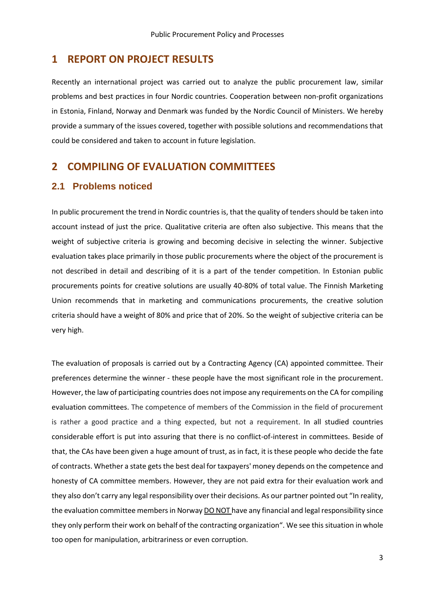#### <span id="page-2-0"></span>**1 REPORT ON PROJECT RESULTS**

Recently an international project was carried out to analyze the public procurement law, similar problems and best practices in four Nordic countries. Cooperation between non-profit organizations in Estonia, Finland, Norway and Denmark was funded by the Nordic Council of Ministers. We hereby provide a summary of the issues covered, together with possible solutions and recommendations that could be considered and taken to account in future legislation.

### <span id="page-2-1"></span>**2 COMPILING OF EVALUATION COMMITTEES**

#### <span id="page-2-2"></span>**2.1 Problems noticed**

In public procurement the trend in Nordic countries is, that the quality of tenders should be taken into account instead of just the price. Qualitative criteria are often also subjective. This means that the weight of subjective criteria is growing and becoming decisive in selecting the winner. Subjective evaluation takes place primarily in those public procurements where the object of the procurement is not described in detail and describing of it is a part of the tender competition. In Estonian public procurements points for creative solutions are usually 40-80% of total value. The Finnish Marketing Union recommends that in marketing and communications procurements, the creative solution criteria should have a weight of 80% and price that of 20%. So the weight of subjective criteria can be very high.

The evaluation of proposals is carried out by a Contracting Agency (CA) appointed committee. Their preferences determine the winner - these people have the most significant role in the procurement. However, the law of participating countries does not impose any requirements on the CA for compiling evaluation committees. The competence of members of the Commission in the field of procurement is rather a good practice and a thing expected, but not a requirement. In all studied countries considerable effort is put into assuring that there is no conflict-of-interest in committees. Beside of that, the CAs have been given a huge amount of trust, as in fact, it is these people who decide the fate of contracts. Whether a state gets the best deal for taxpayers' money depends on the competence and honesty of CA committee members. However, they are not paid extra for their evaluation work and they also don't carry any legal responsibility over their decisions. As our partner pointed out "In reality, the evaluation committee members in Norway DO NOT have any financial and legal responsibility since they only perform their work on behalf of the contracting organization". We see this situation in whole too open for manipulation, arbitrariness or even corruption.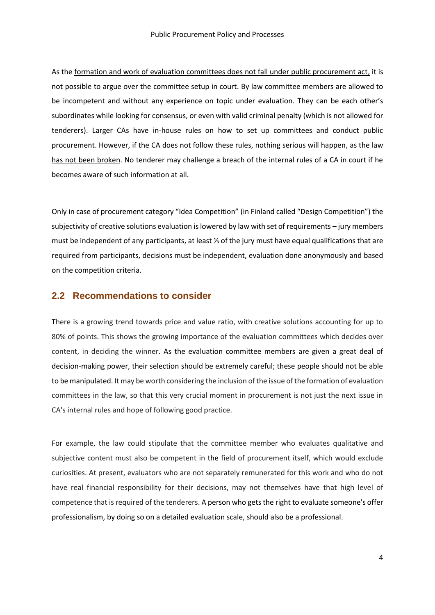As the formation and work of evaluation committees does not fall under public procurement act, it is not possible to argue over the committee setup in court. By law committee members are allowed to be incompetent and without any experience on topic under evaluation. They can be each other's subordinates while looking for consensus, or even with valid criminal penalty (which is not allowed for tenderers). Larger CAs have in-house rules on how to set up committees and conduct public procurement. However, if the CA does not follow these rules, nothing serious will happen, as the law has not been broken. No tenderer may challenge a breach of the internal rules of a CA in court if he becomes aware of such information at all.

Only in case of procurement category "Idea Competition" (in Finland called "Design Competition") the subjectivity of creative solutions evaluation is lowered by law with set of requirements – jury members must be independent of any participants, at least ⅓ of the jury must have equal qualifications that are required from participants, decisions must be independent, evaluation done anonymously and based on the competition criteria.

#### <span id="page-3-0"></span>**2.2 Recommendations to consider**

There is a growing trend towards price and value ratio, with creative solutions accounting for up to 80% of points. This shows the growing importance of the evaluation committees which decides over content, in deciding the winner. As the evaluation committee members are given a great deal of decision-making power, their selection should be extremely careful; these people should not be able to be manipulated. It may be worth considering the inclusion of the issue of the formation of evaluation committees in the law, so that this very crucial moment in procurement is not just the next issue in CA's internal rules and hope of following good practice.

For example, the law could stipulate that the committee member who evaluates qualitative and subjective content must also be competent in the field of procurement itself, which would exclude curiosities. At present, evaluators who are not separately remunerated for this work and who do not have real financial responsibility for their decisions, may not themselves have that high level of competence that is required of the tenderers. A person who gets the right to evaluate someone's offer professionalism, by doing so on a detailed evaluation scale, should also be a professional.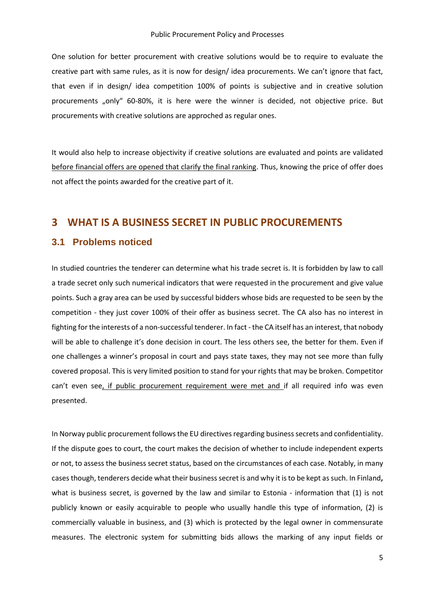One solution for better procurement with creative solutions would be to require to evaluate the creative part with same rules, as it is now for design/ idea procurements. We can't ignore that fact, that even if in design/ idea competition 100% of points is subjective and in creative solution procurements "only" 60-80%, it is here were the winner is decided, not objective price. But procurements with creative solutions are approched as regular ones.

It would also help to increase objectivity if creative solutions are evaluated and points are validated before financial offers are opened that clarify the final ranking. Thus, knowing the price of offer does not affect the points awarded for the creative part of it.

#### <span id="page-4-0"></span>**3 WHAT IS A BUSINESS SECRET IN PUBLIC PROCUREMENTS**

#### <span id="page-4-1"></span>**3.1 Problems noticed**

In studied countries the tenderer can determine what his trade secret is. It is forbidden by law to call a trade secret only such numerical indicators that were requested in the procurement and give value points. Such a gray area can be used by successful bidders whose bids are requested to be seen by the competition - they just cover 100% of their offer as business secret. The CA also has no interest in fighting for the interests of a non-successful tenderer. In fact - the CA itself has an interest, that nobody will be able to challenge it's done decision in court. The less others see, the better for them. Even if one challenges a winner's proposal in court and pays state taxes, they may not see more than fully covered proposal. This is very limited position to stand for your rights that may be broken. Competitor can't even see, if public procurement requirement were met and if all required info was even presented.

In Norway public procurement follows the EU directives regarding business secrets and confidentiality. If the dispute goes to court, the court makes the decision of whether to include independent experts or not, to assess the business secret status, based on the circumstances of each case. Notably, in many cases though, tenderers decide what their business secret is and why it is to be kept as such. In Finland**,** what is business secret, is governed by the law and similar to Estonia - information that (1) is not publicly known or easily acquirable to people who usually handle this type of information, (2) is commercially valuable in business, and (3) which is protected by the legal owner in commensurate measures. The electronic system for submitting bids allows the marking of any input fields or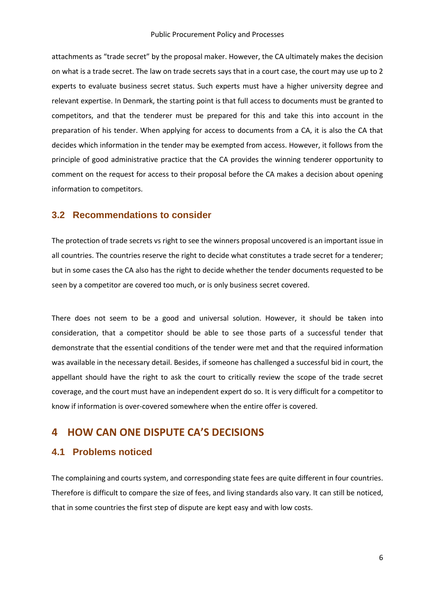attachments as "trade secret" by the proposal maker. However, the CA ultimately makes the decision on what is a trade secret. The law on trade secrets says that in a court case, the court may use up to 2 experts to evaluate business secret status. Such experts must have a higher university degree and relevant expertise. In Denmark, the starting point is that full access to documents must be granted to competitors, and that the tenderer must be prepared for this and take this into account in the preparation of his tender. When applying for access to documents from a CA, it is also the CA that decides which information in the tender may be exempted from access. However, it follows from the principle of good administrative practice that the CA provides the winning tenderer opportunity to comment on the request for access to their proposal before the CA makes a decision about opening information to competitors.

#### <span id="page-5-0"></span>**3.2 Recommendations to consider**

The protection of trade secrets vs right to see the winners proposal uncovered is an important issue in all countries. The countries reserve the right to decide what constitutes a trade secret for a tenderer; but in some cases the CA also has the right to decide whether the tender documents requested to be seen by a competitor are covered too much, or is only business secret covered.

There does not seem to be a good and universal solution. However, it should be taken into consideration, that a competitor should be able to see those parts of a successful tender that demonstrate that the essential conditions of the tender were met and that the required information was available in the necessary detail. Besides, if someone has challenged a successful bid in court, the appellant should have the right to ask the court to critically review the scope of the trade secret coverage, and the court must have an independent expert do so. It is very difficult for a competitor to know if information is over-covered somewhere when the entire offer is covered.

## <span id="page-5-1"></span>**4 HOW CAN ONE DISPUTE CA'S DECISIONS**

#### <span id="page-5-2"></span>**4.1 Problems noticed**

The complaining and courts system, and corresponding state fees are quite different in four countries. Therefore is difficult to compare the size of fees, and living standards also vary. It can still be noticed, that in some countries the first step of dispute are kept easy and with low costs.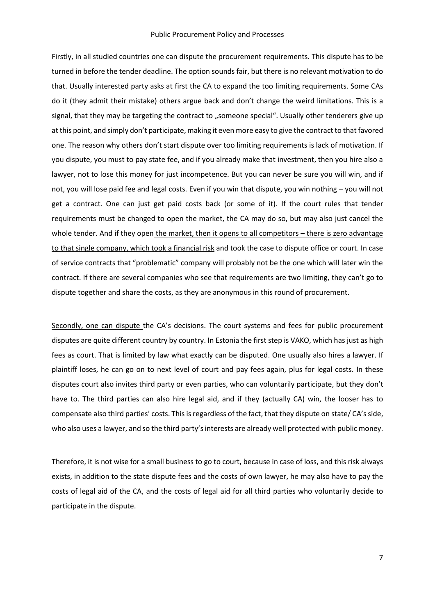Firstly, in all studied countries one can dispute the procurement requirements. This dispute has to be turned in before the tender deadline. The option sounds fair, but there is no relevant motivation to do that. Usually interested party asks at first the CA to expand the too limiting requirements. Some CAs do it (they admit their mistake) others argue back and don't change the weird limitations. This is a signal, that they may be targeting the contract to "someone special". Usually other tenderers give up at this point, and simply don't participate, making it even more easy to give the contract to that favored one. The reason why others don't start dispute over too limiting requirements is lack of motivation. If you dispute, you must to pay state fee, and if you already make that investment, then you hire also a lawyer, not to lose this money for just incompetence. But you can never be sure you will win, and if not, you will lose paid fee and legal costs. Even if you win that dispute, you win nothing – you will not get a contract. One can just get paid costs back (or some of it). If the court rules that tender requirements must be changed to open the market, the CA may do so, but may also just cancel the whole tender. And if they open the market, then it opens to all competitors – there is zero advantage to that single company, which took a financial risk and took the case to dispute office or court. In case of service contracts that "problematic" company will probably not be the one which will later win the contract. If there are several companies who see that requirements are two limiting, they can't go to dispute together and share the costs, as they are anonymous in this round of procurement.

Secondly, one can dispute the CA's decisions. The court systems and fees for public procurement disputes are quite different country by country. In Estonia the first step is VAKO, which has just as high fees as court. That is limited by law what exactly can be disputed. One usually also hires a lawyer. If plaintiff loses, he can go on to next level of court and pay fees again, plus for legal costs. In these disputes court also invites third party or even parties, who can voluntarily participate, but they don't have to. The third parties can also hire legal aid, and if they (actually CA) win, the looser has to compensate also third parties' costs. This is regardless of the fact, that they dispute on state/ CA's side, who also uses a lawyer, and so the third party's interests are already well protected with public money.

Therefore, it is not wise for a small business to go to court, because in case of loss, and this risk always exists, in addition to the state dispute fees and the costs of own lawyer, he may also have to pay the costs of legal aid of the CA, and the costs of legal aid for all third parties who voluntarily decide to participate in the dispute.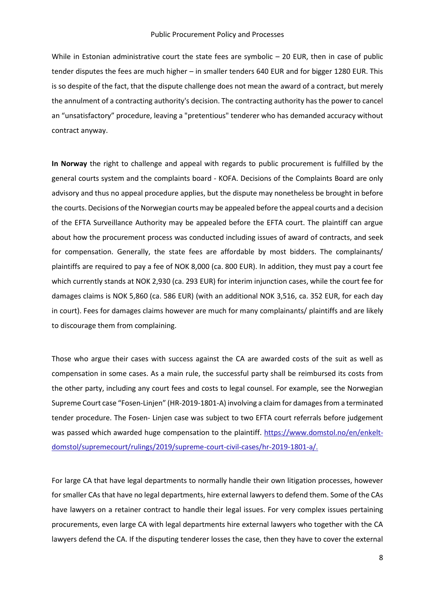While in Estonian administrative court the state fees are symbolic - 20 EUR, then in case of public tender disputes the fees are much higher – in smaller tenders 640 EUR and for bigger 1280 EUR. This is so despite of the fact, that the dispute challenge does not mean the award of a contract, but merely the annulment of a contracting authority's decision. The contracting authority has the power to cancel an "unsatisfactory" procedure, leaving a "pretentious" tenderer who has demanded accuracy without contract anyway.

**In Norway** the right to challenge and appeal with regards to public procurement is fulfilled by the general courts system and the complaints board - KOFA. Decisions of the Complaints Board are only advisory and thus no appeal procedure applies, but the dispute may nonetheless be brought in before the courts. Decisions of the Norwegian courts may be appealed before the appeal courts and a decision of the EFTA Surveillance Authority may be appealed before the EFTA court. The plaintiff can argue about how the procurement process was conducted including issues of award of contracts, and seek for compensation. Generally, the state fees are affordable by most bidders. The complainants/ plaintiffs are required to pay a fee of NOK 8,000 (ca. 800 EUR). In addition, they must pay a court fee which currently stands at NOK 2,930 (ca. 293 EUR) for interim injunction cases, while the court fee for damages claims is NOK 5,860 (ca. 586 EUR) (with an additional NOK 3,516, ca. 352 EUR, for each day in court). Fees for damages claims however are much for many complainants/ plaintiffs and are likely to discourage them from complaining.

Those who argue their cases with success against the CA are awarded costs of the suit as well as compensation in some cases. As a main rule, the successful party shall be reimbursed its costs from the other party, including any court fees and costs to legal counsel. For example, see the Norwegian Supreme Court case "Fosen-Linjen" (HR-2019-1801-A) involving a claim for damages from a terminated tender procedure. The Fosen- Linjen case was subject to two EFTA court referrals before judgement was passed which awarded huge compensation to the plaintiff. [https://www.domstol.no/en/enkelt](https://www.domstol.no/en/enkelt-domstol/supremecourt/rulings/2019/supreme-court-civil-cases/hr-2019-1801-a/)[domstol/supremecourt/rulings/2019/supreme-court-civil-cases/hr-2019-1801-a/.](https://www.domstol.no/en/enkelt-domstol/supremecourt/rulings/2019/supreme-court-civil-cases/hr-2019-1801-a/)

For large CA that have legal departments to normally handle their own litigation processes, however for smaller CAs that have no legal departments, hire external lawyers to defend them. Some of the CAs have lawyers on a retainer contract to handle their legal issues. For very complex issues pertaining procurements, even large CA with legal departments hire external lawyers who together with the CA lawyers defend the CA. If the disputing tenderer losses the case, then they have to cover the external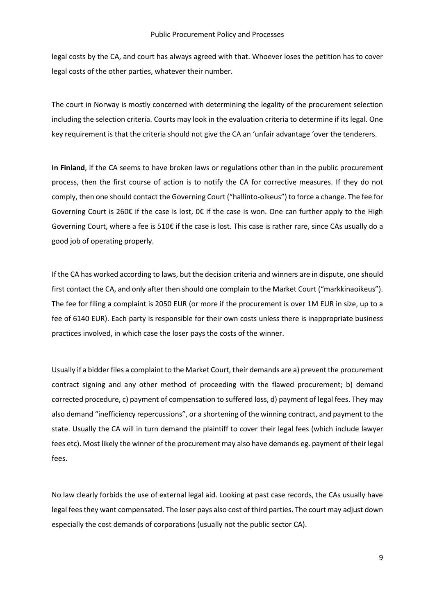legal costs by the CA, and court has always agreed with that. Whoever loses the petition has to cover legal costs of the other parties, whatever their number.

The court in Norway is mostly concerned with determining the legality of the procurement selection including the selection criteria. Courts may look in the evaluation criteria to determine if its legal. One key requirement is that the criteria should not give the CA an 'unfair advantage 'over the tenderers.

**In Finland**, if the CA seems to have broken laws or regulations other than in the public procurement process, then the first course of action is to notify the CA for corrective measures. If they do not comply, then one should contact the Governing Court ("hallinto-oikeus") to force a change. The fee for Governing Court is 260€ if the case is lost, 0€ if the case is won. One can further apply to the High Governing Court, where a fee is 510€ if the case is lost. This case is rather rare, since CAs usually do a good job of operating properly.

If the CA has worked according to laws, but the decision criteria and winners are in dispute, one should first contact the CA, and only after then should one complain to the Market Court ("markkinaoikeus"). [The fee for filing a](https://finlex.fi/fi/laki/ajantasa/2013/20130100#a5.7.2019-815) complaint is 2050 EUR (or more if the procurement is over 1M EUR in size, up to a fee of 6140 EUR). Each party is responsible for their own costs unless there is inappropriate business practices involved, in which case the loser pays the costs of the winner.

Usually if a bidder files a complaint to the Market Court, their demands are a) prevent the procurement contract signing and any other method of proceeding with the flawed procurement; b) demand corrected procedure, c) payment of compensation to suffered loss, d) payment of legal fees. They may also demand "inefficiency repercussions", or a shortening of the winning contract, and payment to the state. Usually the CA will in turn demand the plaintiff to cover their legal fees (which include lawyer fees etc). Most likely the winner of the procurement may also have demands eg. payment of their legal fees.

No law clearly forbids the use of external legal aid. Looking at past case records, the CAs usually have legal fees they want compensated. The loser pays also cost of third parties. The court may adjust down especially the cost demands of corporations (usually not the public sector CA).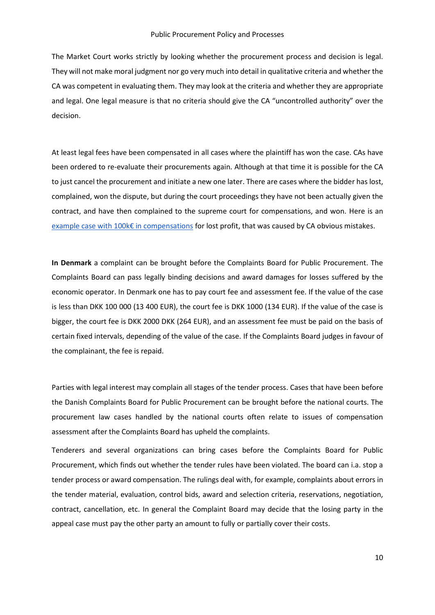The Market Court works strictly by looking whether the procurement process and decision is legal. They will not make moral judgment nor go very much into detail in qualitative criteria and whether the CA was competent in evaluating them. They may look at the criteria and whether they are appropriate and legal. One legal measure is that no criteria should give the CA "uncontrolled authority" over the decision.

At least legal fees have been compensated in all cases where the plaintiff has won the case. CAs have been ordered to re-evaluate their procurements again. Although at that time it is possible for the CA to just cancel the procurement and initiate a new one later. There are cases where the bidder has lost, complained, won the dispute, but during the court proceedings they have not been actually given the contract, and have then complained to the supreme court for compensations, and won. Here is an e[xample case with 100k€ in compensations](https://www.finlex.fi/fi/oikeus/ho/2010/kouho20101208) for lost profit, that was caused by CA obvious mistakes.

**In Denmark** a complaint can be brought before the Complaints Board for Public Procurement. The Complaints Board can pass legally binding decisions and award damages for losses suffered by the economic operator. In Denmark one has to pay court fee and assessment fee. If the value of the case is less than DKK 100 000 (13 400 EUR), the court fee is DKK 1000 (134 EUR). If the value of the case is bigger, the court fee is DKK 2000 DKK (264 EUR), and an assessment fee must be paid on the basis of certain fixed intervals, depending of the value of the case. If the Complaints Board judges in favour of the complainant, the fee is repaid.

Parties with legal interest may complain all stages of the tender process. Cases that have been before the Danish Complaints Board for Public Procurement can be brought before the national courts. The procurement law cases handled by the national courts often relate to issues of compensation assessment after the Complaints Board has upheld the complaints.

Tenderers and several organizations can bring cases before the Complaints Board for Public Procurement, which finds out whether the tender rules have been violated. The board can i.a. stop a tender process or award compensation. The rulings deal with, for example, complaints about errors in the tender material, evaluation, control bids, award and selection criteria, reservations, negotiation, contract, cancellation, etc. In general the Complaint Board may decide that the losing party in the appeal case must pay the other party an amount to fully or partially cover their costs.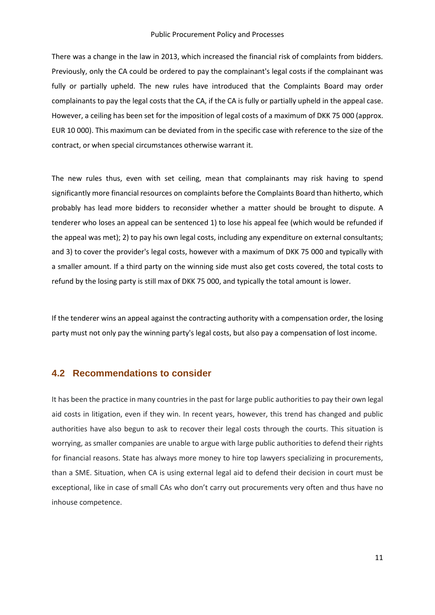There was a change in the law in 2013, which increased the financial risk of complaints from bidders. Previously, only the CA could be ordered to pay the complainant's legal costs if the complainant was fully or partially upheld. The new rules have introduced that the Complaints Board may order complainants to pay the legal costs that the CA, if the CA is fully or partially upheld in the appeal case. However, a ceiling has been set for the imposition of legal costs of a maximum of DKK 75 000 (approx. EUR 10 000). This maximum can be deviated from in the specific case with reference to the size of the contract, or when special circumstances otherwise warrant it.

The new rules thus, even with set ceiling, mean that complainants may risk having to spend significantly more financial resources on complaints before the Complaints Board than hitherto, which probably has lead more bidders to reconsider whether a matter should be brought to dispute. A tenderer who loses an appeal can be sentenced 1) to lose his appeal fee (which would be refunded if the appeal was met); 2) to pay his own legal costs, including any expenditure on external consultants; and 3) to cover the provider's legal costs, however with a maximum of DKK 75 000 and typically with a smaller amount. If a third party on the winning side must also get costs covered, the total costs to refund by the losing party is still max of DKK 75 000, and typically the total amount is lower.

If the tenderer wins an appeal against the contracting authority with a compensation order, the losing party must not only pay the winning party's legal costs, but also pay a compensation of lost income.

#### <span id="page-10-0"></span>**4.2 Recommendations to consider**

It has been the practice in many countries in the past for large public authorities to pay their own legal aid costs in litigation, even if they win. In recent years, however, this trend has changed and public authorities have also begun to ask to recover their legal costs through the courts. This situation is worrying, as smaller companies are unable to argue with large public authorities to defend their rights for financial reasons. State has always more money to hire top lawyers specializing in procurements, than a SME. Situation, when CA is using external legal aid to defend their decision in court must be exceptional, like in case of small CAs who don't carry out procurements very often and thus have no inhouse competence.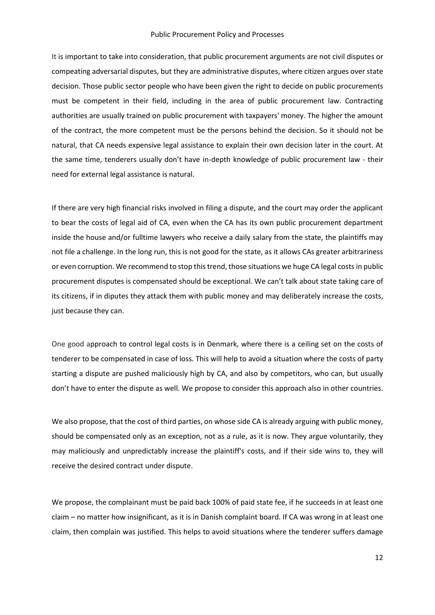It is important to take into consideration, that public procurement arguments are not civil disputes or compeating adversarial disputes, but they are administrative disputes, where citizen argues over state decision. Those public sector people who have been given the right to decide on public procurements must be competent in their field, including in the area of public procurement law. Contracting authorities are usually trained on public procurement with taxpayers' money. The higher the amount of the contract, the more competent must be the persons behind the decision. So it should not be natural, that CA needs expensive legal assistance to explain their own decision later in the court. At the same time, tenderers usually don't have in-depth knowledge of public procurement law - their need for external legal assistance is natural.

If there are very high financial risks involved in filing a dispute, and the court may order the applicant to bear the costs of legal aid of CA, even when the CA has its own public procurement department inside the house and/or fulltime lawyers who receive a daily salary from the state, the plaintiffs may not file a challenge. In the long run, this is not good for the state, as it allows CAs greater arbitrariness or even corruption. We recommend to stop this trend, those situations we huge CA legal costs in public procurement disputes is compensated should be exceptional. We can't talk about state taking care of its citizens, if in diputes they attack them with public money and may deliberately increase the costs, just because they can.

One good approach to control legal costs is in Denmark, where there is a ceiling set on the costs of tenderer to be compensated in case of loss. This will help to avoid a situation where the costs of party starting a dispute are pushed maliciously high by CA, and also by competitors, who can, but usually don't have to enter the dispute as well. We propose to consider this approach also in other countries.

We also propose, that the cost of third parties, on whose side CA is already arguing with public money, should be compensated only as an exception, not as a rule, as it is now. They argue voluntarily, they may maliciously and unpredictably increase the plaintiff's costs, and if their side wins to, they will receive the desired contract under dispute.

We propose, the complainant must be paid back 100% of paid state fee, if he succeeds in at least one claim – no matter how insignificant, as it is in Danish complaint board. If CA was wrong in at least one claim, then complain was justified. This helps to avoid situations where the tenderer suffers damage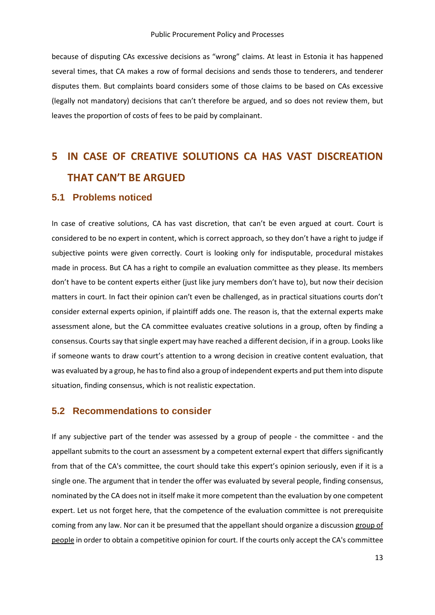because of disputing CAs excessive decisions as "wrong" claims. At least in Estonia it has happened several times, that CA makes a row of formal decisions and sends those to tenderers, and tenderer disputes them. But complaints board considers some of those claims to be based on CAs excessive (legally not mandatory) decisions that can't therefore be argued, and so does not review them, but leaves the proportion of costs of fees to be paid by complainant.

# <span id="page-12-0"></span>**5 IN CASE OF CREATIVE SOLUTIONS CA HAS VAST DISCREATION THAT CAN'T BE ARGUED**

#### <span id="page-12-1"></span>**5.1 Problems noticed**

In case of creative solutions, CA has vast discretion, that can't be even argued at court. Court is considered to be no expert in content, which is correct approach, so they don't have a right to judge if subjective points were given correctly. Court is looking only for indisputable, procedural mistakes made in process. But CA has a right to compile an evaluation committee as they please. Its members don't have to be content experts either (just like jury members don't have to), but now their decision matters in court. In fact their opinion can't even be challenged, as in practical situations courts don't consider external experts opinion, if plaintiff adds one. The reason is, that the external experts make assessment alone, but the CA committee evaluates creative solutions in a group, often by finding a consensus. Courts say that single expert may have reached a different decision, if in a group. Looks like if someone wants to draw court's attention to a wrong decision in creative content evaluation, that was evaluated by a group, he hasto find also a group of independent experts and put them into dispute situation, finding consensus, which is not realistic expectation.

#### <span id="page-12-2"></span>**5.2 Recommendations to consider**

If any subjective part of the tender was assessed by a group of people - the committee - and the appellant submits to the court an assessment by a competent external expert that differs significantly from that of the CA's committee, the court should take this expert's opinion seriously, even if it is a single one. The argument that in tender the offer was evaluated by several people, finding consensus, nominated by the CA does not in itself make it more competent than the evaluation by one competent expert. Let us not forget here, that the competence of the evaluation committee is not prerequisite coming from any law. Nor can it be presumed that the appellant should organize a discussion group of people in order to obtain a competitive opinion for court. If the courts only accept the CA's committee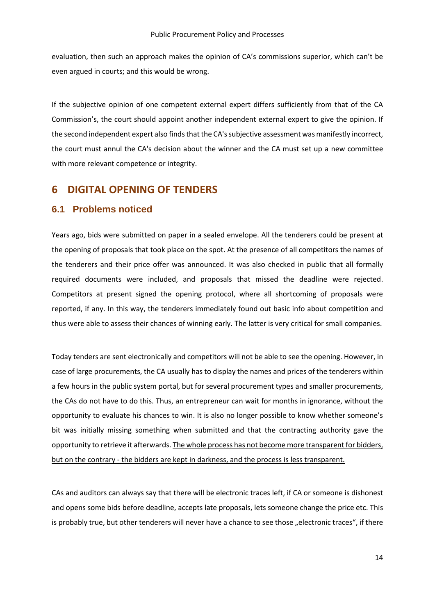evaluation, then such an approach makes the opinion of CA's commissions superior, which can't be even argued in courts; and this would be wrong.

If the subjective opinion of one competent external expert differs sufficiently from that of the CA Commission's, the court should appoint another independent external expert to give the opinion. If the second independent expert also finds that the CA's subjective assessment was manifestly incorrect, the court must annul the CA's decision about the winner and the CA must set up a new committee with more relevant competence or integrity.

#### <span id="page-13-0"></span>**6 DIGITAL OPENING OF TENDERS**

#### <span id="page-13-1"></span>**6.1 Problems noticed**

Years ago, bids were submitted on paper in a sealed envelope. All the tenderers could be present at the opening of proposals that took place on the spot. At the presence of all competitors the names of the tenderers and their price offer was announced. It was also checked in public that all formally required documents were included, and proposals that missed the deadline were rejected. Competitors at present signed the opening protocol, where all shortcoming of proposals were reported, if any. In this way, the tenderers immediately found out basic info about competition and thus were able to assess their chances of winning early. The latter is very critical for small companies.

Today tenders are sent electronically and competitors will not be able to see the opening. However, in case of large procurements, the CA usually has to display the names and prices of the tenderers within a few hours in the public system portal, but for several procurement types and smaller procurements, the CAs do not have to do this. Thus, an entrepreneur can wait for months in ignorance, without the opportunity to evaluate his chances to win. It is also no longer possible to know whether someone's bit was initially missing something when submitted and that the contracting authority gave the opportunity to retrieve it afterwards. The whole process has not become more transparent for bidders, but on the contrary - the bidders are kept in darkness, and the process is less transparent.

CAs and auditors can always say that there will be electronic traces left, if CA or someone is dishonest and opens some bids before deadline, accepts late proposals, lets someone change the price etc. This is probably true, but other tenderers will never have a chance to see those "electronic traces", if there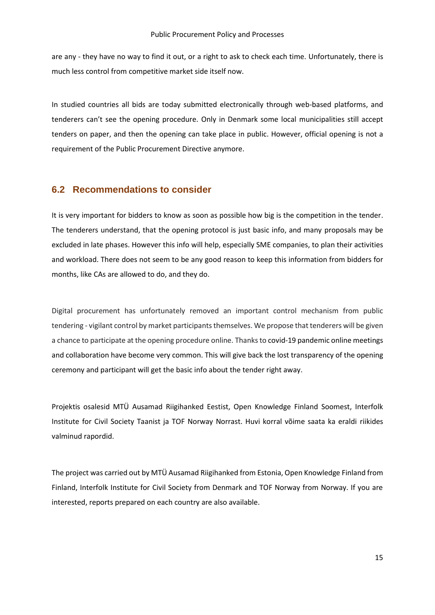are any - they have no way to find it out, or a right to ask to check each time. Unfortunately, there is much less control from competitive market side itself now.

In studied countries all bids are today submitted electronically through web-based platforms, and tenderers can't see the opening procedure. Only in Denmark some local municipalities still accept tenders on paper, and then the opening can take place in public. However, official opening is not a requirement of the Public Procurement Directive anymore.

#### <span id="page-14-0"></span>**6.2 Recommendations to consider**

It is very important for bidders to know as soon as possible how big is the competition in the tender. The tenderers understand, that the opening protocol is just basic info, and many proposals may be excluded in late phases. However this info will help, especially SME companies, to plan their activities and workload. There does not seem to be any good reason to keep this information from bidders for months, like CAs are allowed to do, and they do.

Digital procurement has unfortunately removed an important control mechanism from public tendering - vigilant control by market participants themselves. We propose that tenderers will be given a chance to participate at the opening procedure online. Thanks to covid-19 pandemic online meetings and collaboration have become very common. This will give back the lost transparency of the opening ceremony and participant will get the basic info about the tender right away.

Projektis osalesid MTÜ Ausamad Riigihanked Eestist, Open Knowledge Finland Soomest, Interfolk Institute for Civil Society Taanist ja TOF Norway Norrast. Huvi korral võime saata ka eraldi riikides valminud rapordid.

The project was carried out by MTÜ Ausamad Riigihanked from Estonia, Open Knowledge Finland from Finland, Interfolk Institute for Civil Society from Denmark and TOF Norway from Norway. If you are interested, reports prepared on each country are also available.